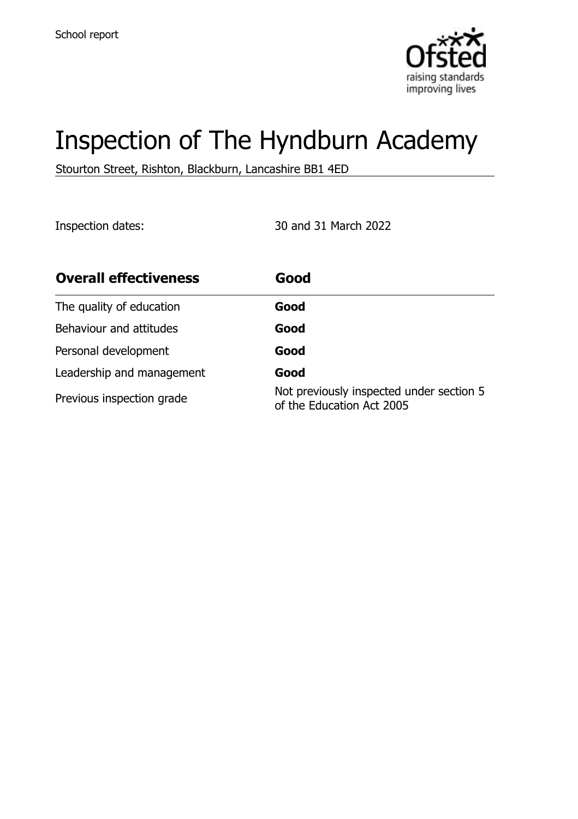

# Inspection of The Hyndburn Academy

Stourton Street, Rishton, Blackburn, Lancashire BB1 4ED

Inspection dates: 30 and 31 March 2022

| <b>Overall effectiveness</b> | Good                                                                  |
|------------------------------|-----------------------------------------------------------------------|
| The quality of education     | Good                                                                  |
| Behaviour and attitudes      | Good                                                                  |
| Personal development         | Good                                                                  |
| Leadership and management    | Good                                                                  |
| Previous inspection grade    | Not previously inspected under section 5<br>of the Education Act 2005 |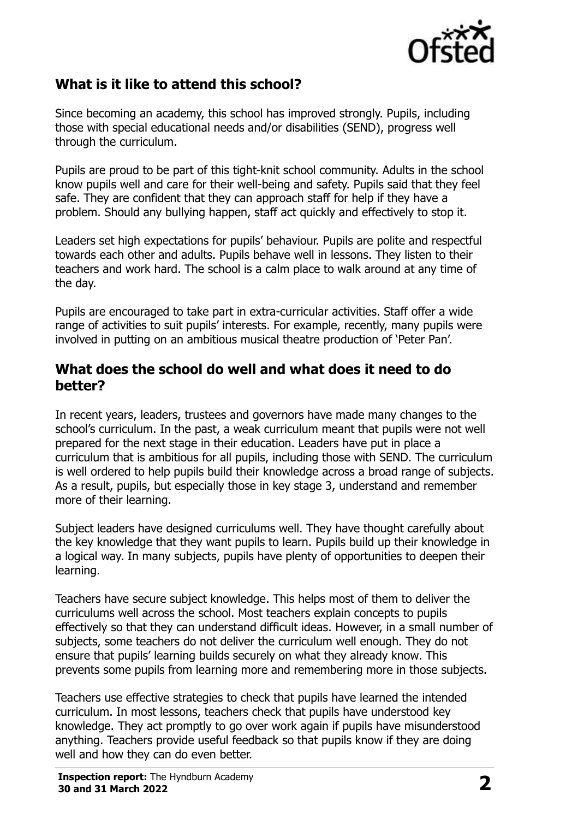

## **What is it like to attend this school?**

Since becoming an academy, this school has improved strongly. Pupils, including those with special educational needs and/or disabilities (SEND), progress well through the curriculum.

Pupils are proud to be part of this tight-knit school community. Adults in the school know pupils well and care for their well-being and safety. Pupils said that they feel safe. They are confident that they can approach staff for help if they have a problem. Should any bullying happen, staff act quickly and effectively to stop it.

Leaders set high expectations for pupils' behaviour. Pupils are polite and respectful towards each other and adults. Pupils behave well in lessons. They listen to their teachers and work hard. The school is a calm place to walk around at any time of the day.

Pupils are encouraged to take part in extra-curricular activities. Staff offer a wide range of activities to suit pupils' interests. For example, recently, many pupils were involved in putting on an ambitious musical theatre production of 'Peter Pan'.

#### **What does the school do well and what does it need to do better?**

In recent years, leaders, trustees and governors have made many changes to the school's curriculum. In the past, a weak curriculum meant that pupils were not well prepared for the next stage in their education. Leaders have put in place a curriculum that is ambitious for all pupils, including those with SEND. The curriculum is well ordered to help pupils build their knowledge across a broad range of subjects. As a result, pupils, but especially those in key stage 3, understand and remember more of their learning.

Subject leaders have designed curriculums well. They have thought carefully about the key knowledge that they want pupils to learn. Pupils build up their knowledge in a logical way. In many subjects, pupils have plenty of opportunities to deepen their learning.

Teachers have secure subject knowledge. This helps most of them to deliver the curriculums well across the school. Most teachers explain concepts to pupils effectively so that they can understand difficult ideas. However, in a small number of subjects, some teachers do not deliver the curriculum well enough. They do not ensure that pupils' learning builds securely on what they already know. This prevents some pupils from learning more and remembering more in those subjects.

Teachers use effective strategies to check that pupils have learned the intended curriculum. In most lessons, teachers check that pupils have understood key knowledge. They act promptly to go over work again if pupils have misunderstood anything. Teachers provide useful feedback so that pupils know if they are doing well and how they can do even better.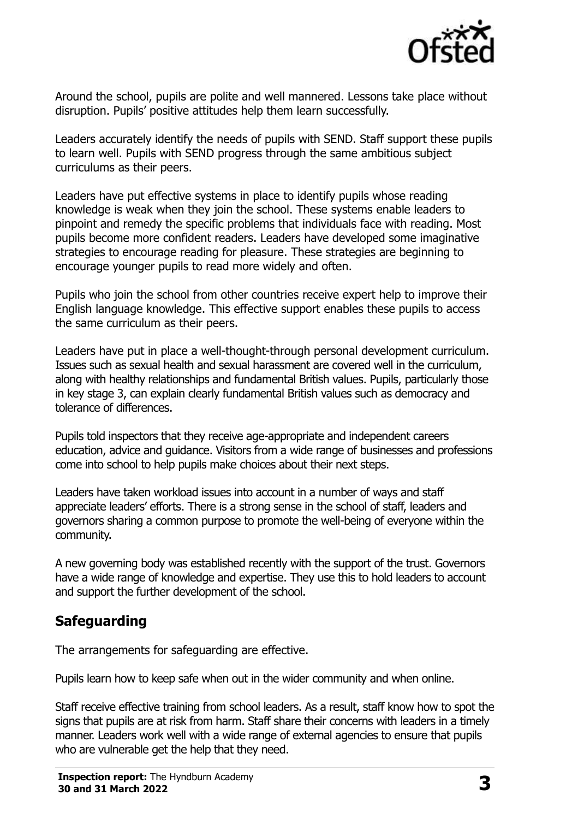

Around the school, pupils are polite and well mannered. Lessons take place without disruption. Pupils' positive attitudes help them learn successfully.

Leaders accurately identify the needs of pupils with SEND. Staff support these pupils to learn well. Pupils with SEND progress through the same ambitious subject curriculums as their peers.

Leaders have put effective systems in place to identify pupils whose reading knowledge is weak when they join the school. These systems enable leaders to pinpoint and remedy the specific problems that individuals face with reading. Most pupils become more confident readers. Leaders have developed some imaginative strategies to encourage reading for pleasure. These strategies are beginning to encourage younger pupils to read more widely and often.

Pupils who join the school from other countries receive expert help to improve their English language knowledge. This effective support enables these pupils to access the same curriculum as their peers.

Leaders have put in place a well-thought-through personal development curriculum. Issues such as sexual health and sexual harassment are covered well in the curriculum, along with healthy relationships and fundamental British values. Pupils, particularly those in key stage 3, can explain clearly fundamental British values such as democracy and tolerance of differences.

Pupils told inspectors that they receive age-appropriate and independent careers education, advice and guidance. Visitors from a wide range of businesses and professions come into school to help pupils make choices about their next steps.

Leaders have taken workload issues into account in a number of ways and staff appreciate leaders' efforts. There is a strong sense in the school of staff, leaders and governors sharing a common purpose to promote the well-being of everyone within the community.

A new governing body was established recently with the support of the trust. Governors have a wide range of knowledge and expertise. They use this to hold leaders to account and support the further development of the school.

## **Safeguarding**

The arrangements for safeguarding are effective.

Pupils learn how to keep safe when out in the wider community and when online.

Staff receive effective training from school leaders. As a result, staff know how to spot the signs that pupils are at risk from harm. Staff share their concerns with leaders in a timely manner. Leaders work well with a wide range of external agencies to ensure that pupils who are vulnerable get the help that they need.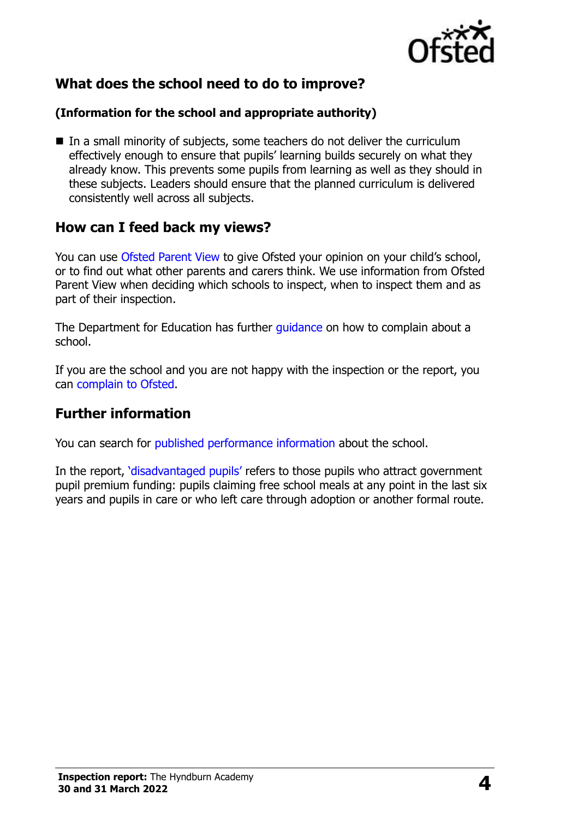

## **What does the school need to do to improve?**

#### **(Information for the school and appropriate authority)**

■ In a small minority of subjects, some teachers do not deliver the curriculum effectively enough to ensure that pupils' learning builds securely on what they already know. This prevents some pupils from learning as well as they should in these subjects. Leaders should ensure that the planned curriculum is delivered consistently well across all subjects.

#### **How can I feed back my views?**

You can use [Ofsted Parent View](http://parentview.ofsted.gov.uk/) to give Ofsted your opinion on your child's school, or to find out what other parents and carers think. We use information from Ofsted Parent View when deciding which schools to inspect, when to inspect them and as part of their inspection.

The Department for Education has further quidance on how to complain about a school.

If you are the school and you are not happy with the inspection or the report, you can [complain to Ofsted.](http://www.gov.uk/complain-ofsted-report)

### **Further information**

You can search for [published performance information](http://www.compare-school-performance.service.gov.uk/) about the school.

In the report, '[disadvantaged pupils](http://www.gov.uk/guidance/pupil-premium-information-for-schools-and-alternative-provision-settings)' refers to those pupils who attract government pupil premium funding: pupils claiming free school meals at any point in the last six years and pupils in care or who left care through adoption or another formal route.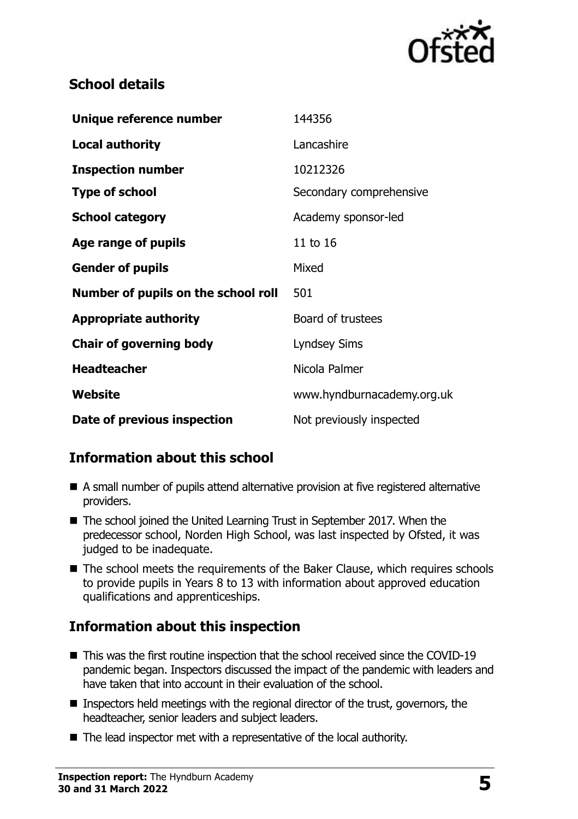

## **School details**

| Unique reference number             | 144356                     |
|-------------------------------------|----------------------------|
| <b>Local authority</b>              | Lancashire                 |
| <b>Inspection number</b>            | 10212326                   |
| <b>Type of school</b>               | Secondary comprehensive    |
| <b>School category</b>              | Academy sponsor-led        |
| Age range of pupils                 | 11 to 16                   |
| <b>Gender of pupils</b>             | Mixed                      |
| Number of pupils on the school roll | 501                        |
| <b>Appropriate authority</b>        | Board of trustees          |
| <b>Chair of governing body</b>      | <b>Lyndsey Sims</b>        |
| <b>Headteacher</b>                  | Nicola Palmer              |
| Website                             | www.hyndburnacademy.org.uk |
| Date of previous inspection         | Not previously inspected   |

## **Information about this school**

- A small number of pupils attend alternative provision at five registered alternative providers.
- The school joined the United Learning Trust in September 2017. When the predecessor school, Norden High School, was last inspected by Ofsted, it was judged to be inadequate.
- The school meets the requirements of the Baker Clause, which requires schools to provide pupils in Years 8 to 13 with information about approved education qualifications and apprenticeships.

## **Information about this inspection**

- This was the first routine inspection that the school received since the COVID-19 pandemic began. Inspectors discussed the impact of the pandemic with leaders and have taken that into account in their evaluation of the school.
- $\blacksquare$  Inspectors held meetings with the regional director of the trust, governors, the headteacher, senior leaders and subject leaders.
- The lead inspector met with a representative of the local authority.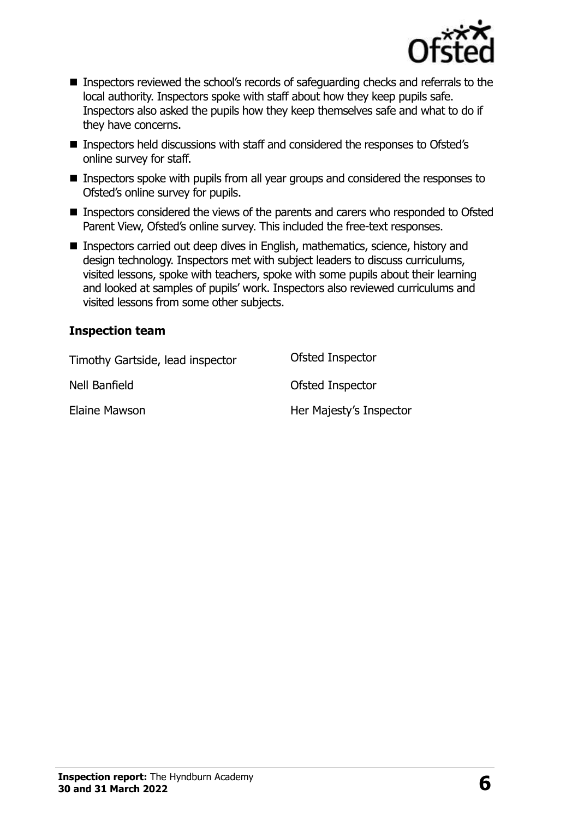

- Inspectors reviewed the school's records of safeguarding checks and referrals to the local authority. Inspectors spoke with staff about how they keep pupils safe. Inspectors also asked the pupils how they keep themselves safe and what to do if they have concerns.
- Inspectors held discussions with staff and considered the responses to Ofsted's online survey for staff.
- Inspectors spoke with pupils from all year groups and considered the responses to Ofsted's online survey for pupils.
- Inspectors considered the views of the parents and carers who responded to Ofsted Parent View, Ofsted's online survey. This included the free-text responses.
- Inspectors carried out deep dives in English, mathematics, science, history and design technology. Inspectors met with subject leaders to discuss curriculums, visited lessons, spoke with teachers, spoke with some pupils about their learning and looked at samples of pupils' work. Inspectors also reviewed curriculums and visited lessons from some other subjects.

#### **Inspection team**

| Timothy Gartside, lead inspector | Ofsted Inspector        |
|----------------------------------|-------------------------|
| Nell Banfield                    | Ofsted Inspector        |
| Elaine Mawson                    | Her Majesty's Inspector |